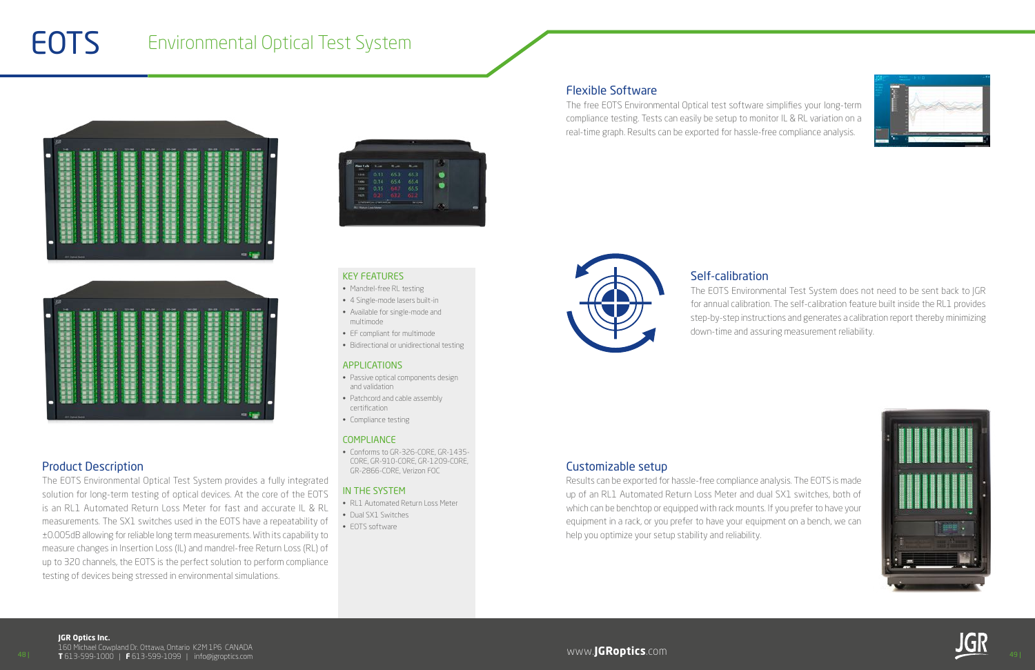48 | www.**JGRoptics**.com 49 | **T** 613-599-1000 | **F** 613-599-1099 | info@jgroptics.com 160 Michael Cowpland Dr. Ottawa, Ontario K2M 1P6 CANADA



#### KEY FEATURES

- Passive optical components design and validation
- Patchcord and cable assembly certification
- Compliance testing

#### **COMPLIANCE**

- Mandrel-free RL testing
- 4 Single-mode lasers built-in
- Available for single-mode and multimode
- EF compliant for multimode
- Bidirectional or unidirectional testing

#### APPLICATIONS

• Conforms to GR-326-CORE, GR-1435- CORE, GR-910-CORE, GR-1209-CORE, GR-2866-CORE, Verizon FOC

#### IN THE SYSTEM

- RL1 Automated Return Loss Meter
- Dual SX1 Switches
- EOTS software

# **EOTS** Environmental Optical Test System

| kit                             |                                       |                                                  |  |
|---------------------------------|---------------------------------------|--------------------------------------------------|--|
| 81-186<br>$1 - 48$<br>$41 - 44$ | $137 - 968$<br>1611-204<br>$30 - 240$ | $38 - 628$<br>323-10<br>$\overline{ }$<br>$\sim$ |  |
|                                 |                                       |                                                  |  |
|                                 |                                       |                                                  |  |
|                                 | ۰<br>۰                                | ۰                                                |  |
| <b>SECONDARY</b>                |                                       |                                                  |  |



### Product Description

The EOTS Environmental Optical Test System provides a fully integrated solution for long-term testing of optical devices. At the core of the EOTS is an RL1 Automated Return Loss Meter for fast and accurate IL & RL measurements. The SX1 switches used in the EOTS have a repeatability of ±0.005dB allowing for reliable long term measurements. With its capability to measure changes in Insertion Loss (IL) and mandrel-free Return Loss (RL) of up to 320 channels, the EOTS is the perfect solution to perform compliance testing of devices being stressed in environmental simulations.

| XR<br><b>Fiber Talk</b><br>ias. |                                                              |      |             |   |
|---------------------------------|--------------------------------------------------------------|------|-------------|---|
| <b>kiss</b>                     | 0.13                                                         | 65.3 | 65.3        |   |
| Sales                           | 0.14                                                         | 65.4 | 65.4        |   |
| isse-                           | 0.15                                                         |      | 65.5        |   |
| <b>HER</b>                      | <b>UND</b>                                                   |      | <b>KO</b> O |   |
|                                 | - Information Linear Artists<br><b>BLY Return Loan Mater</b> |      |             | 6 |

# Self-calibration

The EOTS Environmental Test System does not need to be sent back to JGR for annual calibration. The self-calibration feature built inside the RL1 provides step-by-step instructions and generates a calibration report thereby minimizing down-time and assuring measurement reliability.





### Flexible Software

The free EOTS Environmental Optical test software simplifies your long-term compliance testing. Tests can easily be setup to monitor IL & RL variation on a real-time graph. Results can be exported for hassle-free compliance analysis.



### Customizable setup

Results can be exported for hassle-free compliance analysis. The EOTS is made up of an RL1 Automated Return Loss Meter and dual SX1 switches, both of which can be benchtop or equipped with rack mounts. If you prefer to have your equipment in a rack, or you prefer to have your equipment on a bench, we can help you optimize your setup stability and reliability.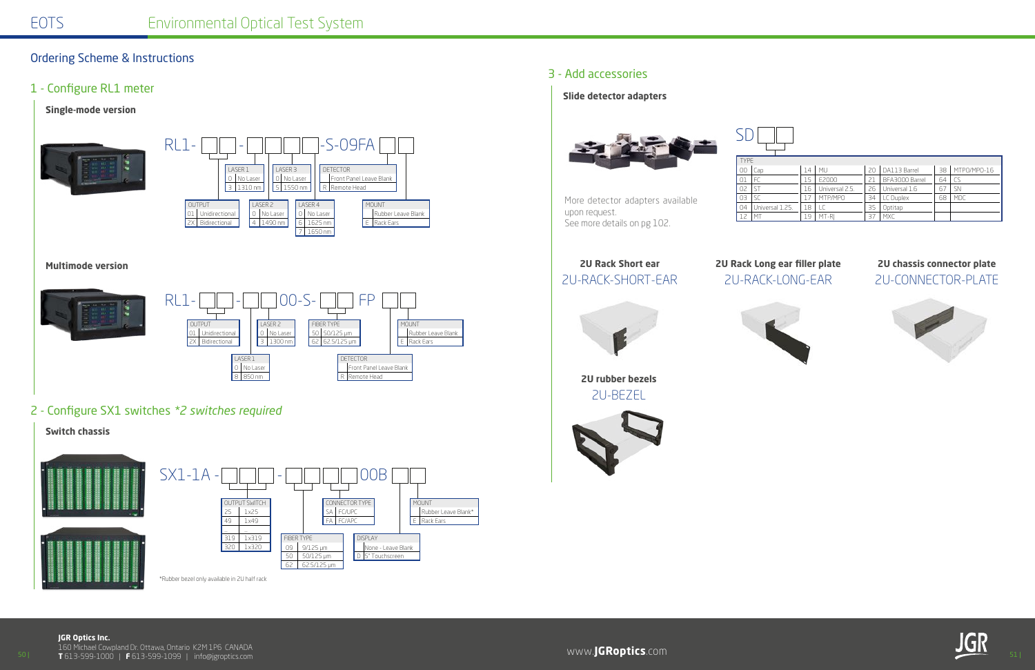**JGR Optics Inc.**

50 | www.**JGRoptics**.com 51 | 160 Michael Cowpland Dr. Ottawa, Ontario K2M 1P6 CANADA **T** 613-599-1000 | **F** 613-599-1099 | info@jgroptics.com



# Ordering Scheme & Instructions

## 1 - Configure RL1 meter

### **Single-mode version**



2 - Configure SX1 switches *\*2 switches required*



## 3 - Add accessories

#### **Slide detector adapters**



More detector adapters available

upon request.

See more details on pg 102.





SD

| <b>TYPE</b> |                 |    |                |    |                |    |             |
|-------------|-----------------|----|----------------|----|----------------|----|-------------|
| 00          | Cap             | 14 | MU             | 20 | DA113 Barrel   | 38 | MTPO/MPO-16 |
| 01          |                 | 5  | E2000          |    | BFA3000 Barrel | 64 |             |
| 02          |                 | 16 | Universal 2.5. | 26 | Universal 1.6  | 67 | <b>SN</b>   |
| 03          | ۲C              |    | MTP/MPO        | 34 | LC Duplex      | 68 | MDC         |
| 04          | Universal 1.25. | 18 |                | 35 | Optitap        |    |             |
|             | M <sub>T</sub>  | ۹9 | MT-RI          | 37 | <b>MXC</b>     |    |             |

# **2U Rack Short ear**

# 2U-RACK-SHORT-EAR 2U-RACK-LONG-EAR 2U-CONNECTOR-PLATE **2U Rack Long ear filler plate 2U chassis connector plate**





**2U rubber bezels** 2U-BEZEL